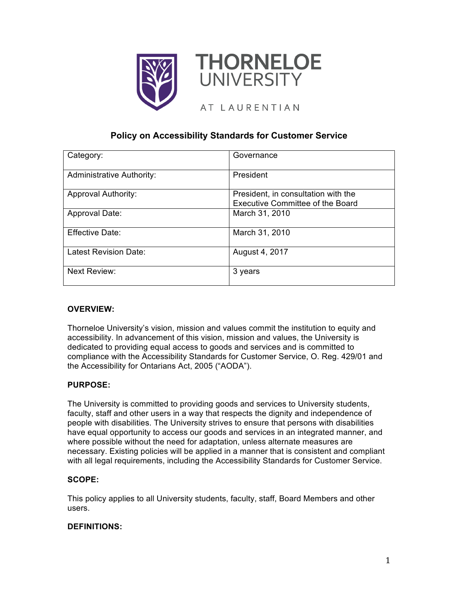



# AT LAURENTIAN

# **Policy on Accessibility Standards for Customer Service**

| Category:                        | Governance                              |
|----------------------------------|-----------------------------------------|
| <b>Administrative Authority:</b> | President                               |
| <b>Approval Authority:</b>       | President, in consultation with the     |
|                                  | <b>Executive Committee of the Board</b> |
| Approval Date:                   | March 31, 2010                          |
| <b>Effective Date:</b>           | March 31, 2010                          |
| <b>Latest Revision Date:</b>     | August 4, 2017                          |
| <b>Next Review:</b>              | 3 years                                 |

# **OVERVIEW:**

Thorneloe University's vision, mission and values commit the institution to equity and accessibility. In advancement of this vision, mission and values, the University is dedicated to providing equal access to goods and services and is committed to compliance with the Accessibility Standards for Customer Service, O. Reg. 429/01 and the Accessibility for Ontarians Act, 2005 ("AODA").

# **PURPOSE:**

The University is committed to providing goods and services to University students, faculty, staff and other users in a way that respects the dignity and independence of people with disabilities. The University strives to ensure that persons with disabilities have equal opportunity to access our goods and services in an integrated manner, and where possible without the need for adaptation, unless alternate measures are necessary. Existing policies will be applied in a manner that is consistent and compliant with all legal requirements, including the Accessibility Standards for Customer Service.

# **SCOPE:**

This policy applies to all University students, faculty, staff, Board Members and other users.

# **DEFINITIONS:**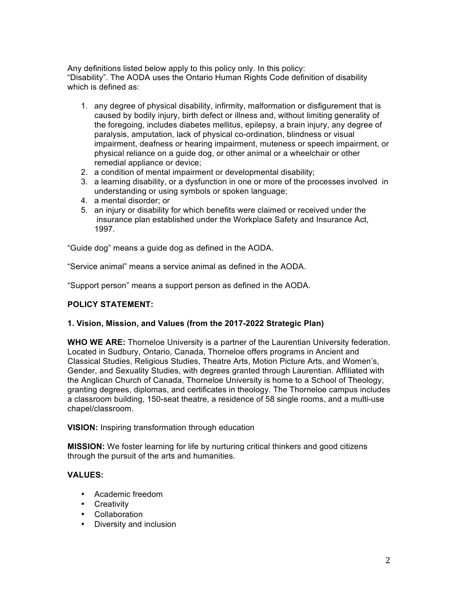Any definitions listed below apply to this policy only. In this policy: "Disability". The AODA uses the Ontario Human Rights Code definition of disability which is defined as:

- 1. any degree of physical disability, infirmity, malformation or disfigurement that is caused by bodily injury, birth defect or illness and, without limiting generality of the foregoing, includes diabetes mellitus, epilepsy, a brain injury, any degree of paralysis, amputation, lack of physical co-ordination, blindness or visual impairment, deafness or hearing impairment, muteness or speech impairment, or physical reliance on a guide dog, or other animal or a wheelchair or other remedial appliance or device;
- 2. a condition of mental impairment or developmental disability;
- 3. a learning disability, or a dysfunction in one or more of the processes involved in understanding or using symbols or spoken language;
- 4. a mental disorder; or
- 5. an injury or disability for which benefits were claimed or received under the insurance plan established under the Workplace Safety and Insurance Act, 1997.

"Guide dog" means a guide dog as defined in the AODA.

"Service animal" means a service animal as defined in the AODA.

"Support person" means a support person as defined in the AODA.

# **POLICY STATEMENT:**

# **1. Vision, Mission, and Values (from the 2017-2022 Strategic Plan)**

**WHO WE ARE:** Thorneloe University is a partner of the Laurentian University federation. Located in Sudbury, Ontario, Canada, Thorneloe offers programs in Ancient and Classical Studies, Religious Studies, Theatre Arts, Motion Picture Arts, and Women's, Gender, and Sexuality Studies, with degrees granted through Laurentian. Affiliated with the Anglican Church of Canada, Thorneloe University is home to a School of Theology, granting degrees, diplomas, and certificates in theology. The Thorneloe campus includes a classroom building, 150-seat theatre, a residence of 58 single rooms, and a multi-use chapel/classroom.

#### **VISION:** Inspiring transformation through education

**MISSION:** We foster learning for life by nurturing critical thinkers and good citizens through the pursuit of the arts and humanities.

# **VALUES:**

- Academic freedom
- Creativity
- Collaboration
- Diversity and inclusion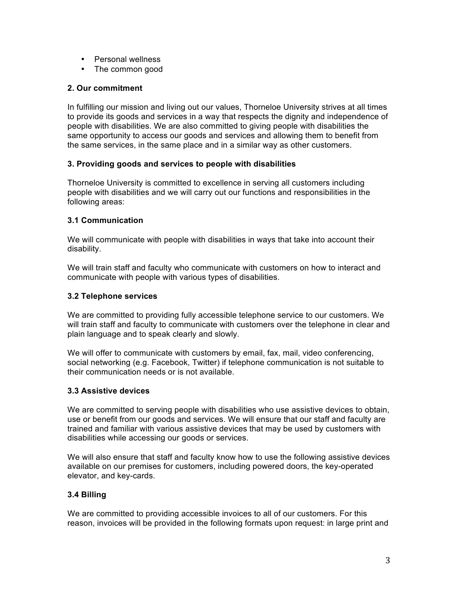- Personal wellness
- The common good

# **2. Our commitment**

In fulfilling our mission and living out our values, Thorneloe University strives at all times to provide its goods and services in a way that respects the dignity and independence of people with disabilities. We are also committed to giving people with disabilities the same opportunity to access our goods and services and allowing them to benefit from the same services, in the same place and in a similar way as other customers.

# **3. Providing goods and services to people with disabilities**

Thorneloe University is committed to excellence in serving all customers including people with disabilities and we will carry out our functions and responsibilities in the following areas:

# **3.1 Communication**

We will communicate with people with disabilities in ways that take into account their disability.

We will train staff and faculty who communicate with customers on how to interact and communicate with people with various types of disabilities.

# **3.2 Telephone services**

We are committed to providing fully accessible telephone service to our customers. We will train staff and faculty to communicate with customers over the telephone in clear and plain language and to speak clearly and slowly.

We will offer to communicate with customers by email, fax, mail, video conferencing, social networking (e.g. Facebook, Twitter) if telephone communication is not suitable to their communication needs or is not available.

# **3.3 Assistive devices**

We are committed to serving people with disabilities who use assistive devices to obtain, use or benefit from our goods and services. We will ensure that our staff and faculty are trained and familiar with various assistive devices that may be used by customers with disabilities while accessing our goods or services.

We will also ensure that staff and faculty know how to use the following assistive devices available on our premises for customers, including powered doors, the key-operated elevator, and key-cards.

# **3.4 Billing**

We are committed to providing accessible invoices to all of our customers. For this reason, invoices will be provided in the following formats upon request: in large print and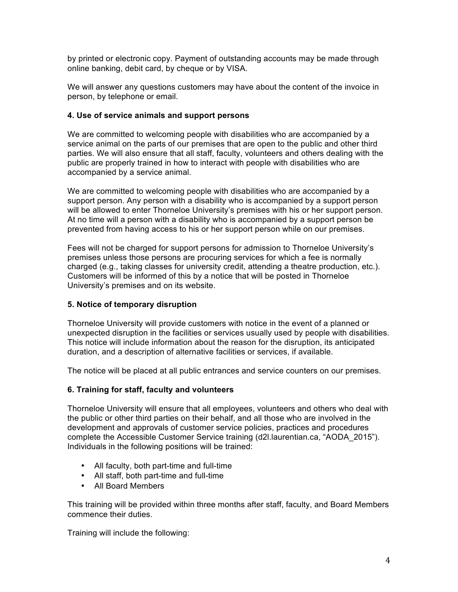by printed or electronic copy. Payment of outstanding accounts may be made through online banking, debit card, by cheque or by VISA.

We will answer any questions customers may have about the content of the invoice in person, by telephone or email.

# **4. Use of service animals and support persons**

We are committed to welcoming people with disabilities who are accompanied by a service animal on the parts of our premises that are open to the public and other third parties. We will also ensure that all staff, faculty, volunteers and others dealing with the public are properly trained in how to interact with people with disabilities who are accompanied by a service animal.

We are committed to welcoming people with disabilities who are accompanied by a support person. Any person with a disability who is accompanied by a support person will be allowed to enter Thorneloe University's premises with his or her support person. At no time will a person with a disability who is accompanied by a support person be prevented from having access to his or her support person while on our premises.

Fees will not be charged for support persons for admission to Thorneloe University's premises unless those persons are procuring services for which a fee is normally charged (e.g., taking classes for university credit, attending a theatre production, etc.). Customers will be informed of this by a notice that will be posted in Thorneloe University's premises and on its website.

# **5. Notice of temporary disruption**

Thorneloe University will provide customers with notice in the event of a planned or unexpected disruption in the facilities or services usually used by people with disabilities. This notice will include information about the reason for the disruption, its anticipated duration, and a description of alternative facilities or services, if available.

The notice will be placed at all public entrances and service counters on our premises.

# **6. Training for staff, faculty and volunteers**

Thorneloe University will ensure that all employees, volunteers and others who deal with the public or other third parties on their behalf, and all those who are involved in the development and approvals of customer service policies, practices and procedures complete the Accessible Customer Service training (d2l.laurentian.ca, "AODA\_2015"). Individuals in the following positions will be trained:

- All faculty, both part-time and full-time
- All staff, both part-time and full-time
- All Board Members

This training will be provided within three months after staff, faculty, and Board Members commence their duties.

Training will include the following: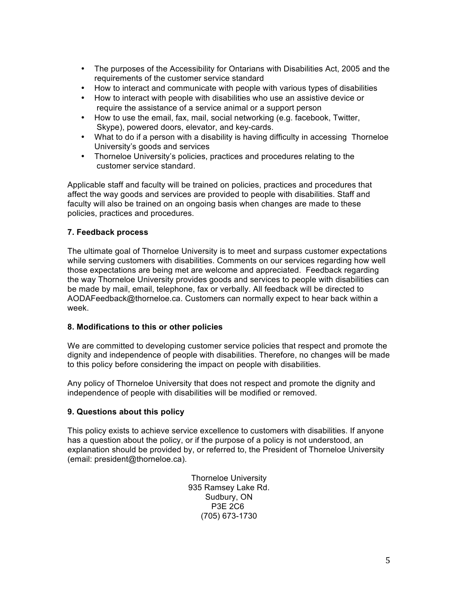- The purposes of the Accessibility for Ontarians with Disabilities Act, 2005 and the requirements of the customer service standard
- How to interact and communicate with people with various types of disabilities
- How to interact with people with disabilities who use an assistive device or require the assistance of a service animal or a support person
- How to use the email, fax, mail, social networking (e.g. facebook, Twitter, Skype), powered doors, elevator, and key-cards.
- What to do if a person with a disability is having difficulty in accessing Thorneloe University's goods and services
- Thorneloe University's policies, practices and procedures relating to the customer service standard.

Applicable staff and faculty will be trained on policies, practices and procedures that affect the way goods and services are provided to people with disabilities. Staff and faculty will also be trained on an ongoing basis when changes are made to these policies, practices and procedures.

# **7. Feedback process**

The ultimate goal of Thorneloe University is to meet and surpass customer expectations while serving customers with disabilities. Comments on our services regarding how well those expectations are being met are welcome and appreciated. Feedback regarding the way Thorneloe University provides goods and services to people with disabilities can be made by mail, email, telephone, fax or verbally. All feedback will be directed to AODAFeedback@thorneloe.ca. Customers can normally expect to hear back within a week.

# **8. Modifications to this or other policies**

We are committed to developing customer service policies that respect and promote the dignity and independence of people with disabilities. Therefore, no changes will be made to this policy before considering the impact on people with disabilities.

Any policy of Thorneloe University that does not respect and promote the dignity and independence of people with disabilities will be modified or removed.

# **9. Questions about this policy**

This policy exists to achieve service excellence to customers with disabilities. If anyone has a question about the policy, or if the purpose of a policy is not understood, an explanation should be provided by, or referred to, the President of Thorneloe University (email: president@thorneloe.ca).

> Thorneloe University 935 Ramsey Lake Rd. Sudbury, ON P3E 2C6 (705) 673-1730